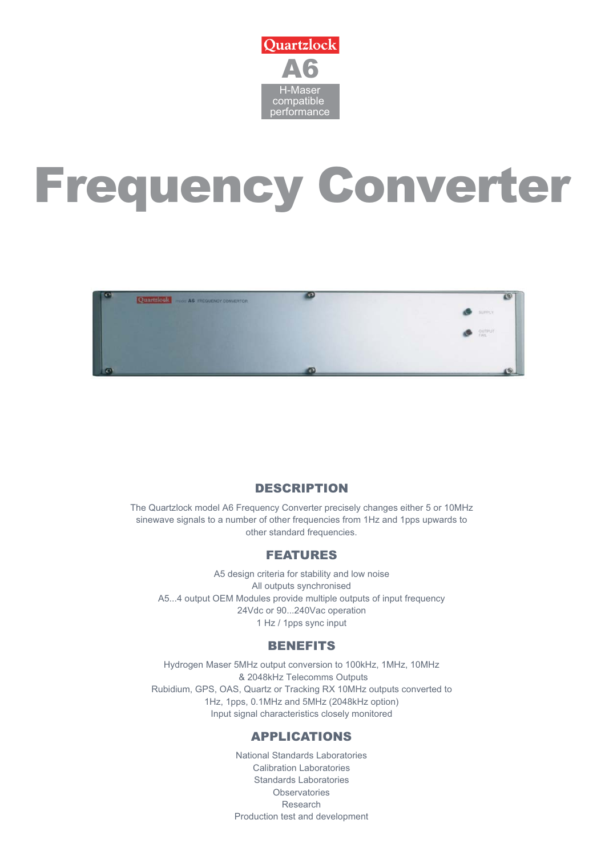

# Frequency Converter



# DESCRIPTION

The Quartzlock model A6 Frequency Converter precisely changes either 5 or 10MHz sinewave signals to a number of other frequencies from 1Hz and 1pps upwards to other standard frequencies.

## FEATURES

A5 design criteria for stability and low noise All outputs synchronised A5...4 output OEM Modules provide multiple outputs of input frequency 24Vdc or 90...240Vac operation 1 Hz / 1pps sync input

## **BENEFITS**

Hydrogen Maser 5MHz output conversion to 100kHz, 1MHz, 10MHz & 2048kHz Telecomms Outputs Rubidium, GPS, OAS, Quartz or Tracking RX 10MHz outputs converted to 1Hz, 1pps, 0.1MHz and 5MHz (2048kHz option) Input signal characteristics closely monitored

# APPLICATIONS

National Standards Laboratories Calibration Laboratories Standards Laboratories **Observatories** Research Production test and development